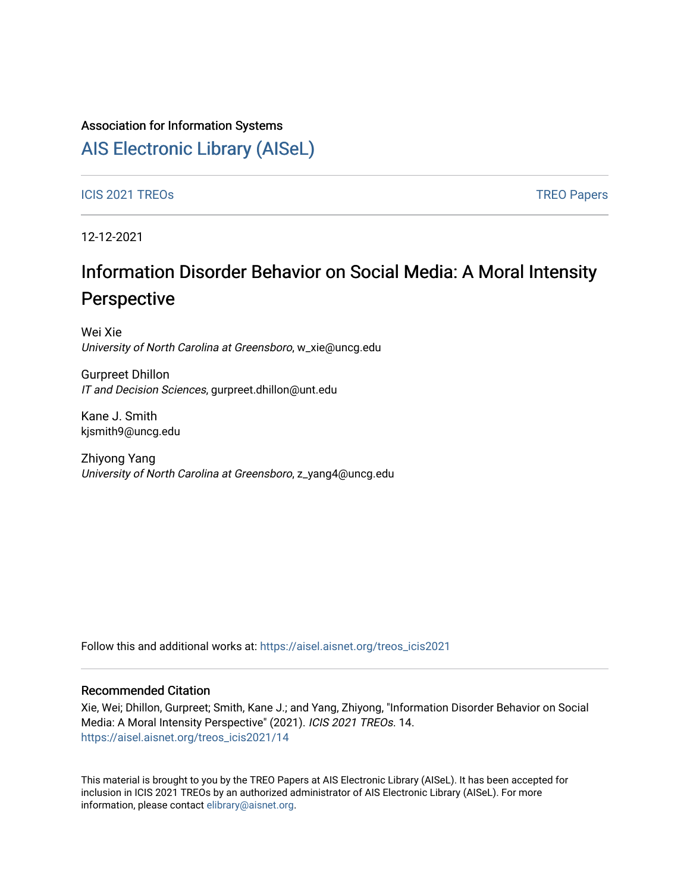### Association for Information Systems

# [AIS Electronic Library \(AISeL\)](https://aisel.aisnet.org/)

#### ICIS 2021 TREOS Notes that the contract of the contract of the contract of the contract of the contract of the contract of the contract of the contract of the contract of the contract of the contract of the contract of the

12-12-2021

# Information Disorder Behavior on Social Media: A Moral Intensity Perspective

Wei Xie University of North Carolina at Greensboro, w\_xie@uncg.edu

Gurpreet Dhillon IT and Decision Sciences, gurpreet.dhillon@unt.edu

Kane J. Smith kjsmith9@uncg.edu

Zhiyong Yang University of North Carolina at Greensboro, z\_yang4@uncg.edu

Follow this and additional works at: [https://aisel.aisnet.org/treos\\_icis2021](https://aisel.aisnet.org/treos_icis2021?utm_source=aisel.aisnet.org%2Ftreos_icis2021%2F14&utm_medium=PDF&utm_campaign=PDFCoverPages) 

#### Recommended Citation

Xie, Wei; Dhillon, Gurpreet; Smith, Kane J.; and Yang, Zhiyong, "Information Disorder Behavior on Social Media: A Moral Intensity Perspective" (2021). ICIS 2021 TREOs. 14. [https://aisel.aisnet.org/treos\\_icis2021/14](https://aisel.aisnet.org/treos_icis2021/14?utm_source=aisel.aisnet.org%2Ftreos_icis2021%2F14&utm_medium=PDF&utm_campaign=PDFCoverPages) 

This material is brought to you by the TREO Papers at AIS Electronic Library (AISeL). It has been accepted for inclusion in ICIS 2021 TREOs by an authorized administrator of AIS Electronic Library (AISeL). For more information, please contact [elibrary@aisnet.org.](mailto:elibrary@aisnet.org%3E)